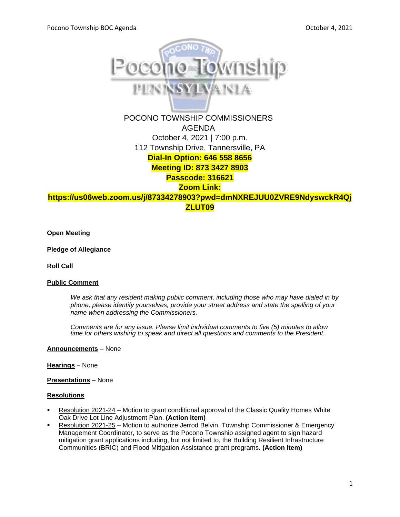

POCONO TOWNSHIP COMMISSIONERS AGENDA October 4, 2021 | 7:00 p.m. 112 Township Drive, Tannersville, PA **Dial-In Option: 646 558 8656 Meeting ID: 873 3427 8903 Passcode: 316621 Zoom Link:** 

**https://us06web.zoom.us/j/87334278903?pwd=dmNXREJUU0ZVRE9NdyswckR4Qj ZLUT09**

**Open Meeting**

**Pledge of Allegiance**

**Roll Call**

#### **Public Comment**

*We ask that any resident making public comment, including those who may have dialed in by phone, please identify yourselves, provide your street address and state the spelling of your name when addressing the Commissioners.*

*Comments are for any issue. Please limit individual comments to five (5) minutes to allow time for others wishing to speak and direct all questions and comments to the President.* 

**Announcements** – None

#### **Hearings** – None

**Presentations** – None

#### **Resolutions**

- Resolution 2021-24 Motion to grant conditional approval of the Classic Quality Homes White Oak Drive Lot Line Adjustment Plan. **(Action Item)**
- Resolution 2021-25 Motion to authorize Jerrod Belvin, Township Commissioner & Emergency Management Coordinator, to serve as the Pocono Township assigned agent to sign hazard mitigation grant applications including, but not limited to, the Building Resilient Infrastructure Communities (BRIC) and Flood Mitigation Assistance grant programs. **(Action Item)**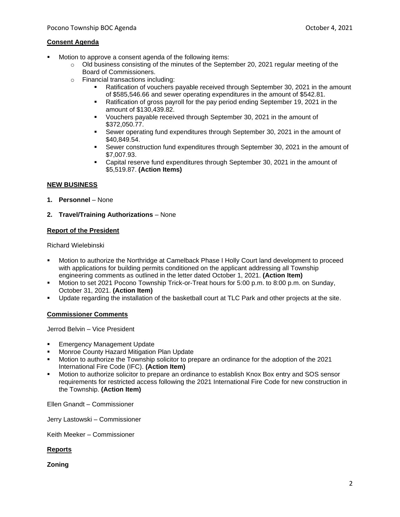## **Consent Agenda**

- Motion to approve a consent agenda of the following items:
	- $\circ$  Old business consisting of the minutes of the September 20, 2021 regular meeting of the Board of Commissioners.
	- o Financial transactions including:
		- **EXECT** Ratification of vouchers payable received through September 30, 2021 in the amount of \$585,546.66 and sewer operating expenditures in the amount of \$542.81.
		- Ratification of gross payroll for the pay period ending September 19, 2021 in the amount of \$130,439.82.
		- Vouchers payable received through September 30, 2021 in the amount of \$372,050.77.
		- Sewer operating fund expenditures through September 30, 2021 in the amount of \$40,849.54.
		- **EXECT** Sewer construction fund expenditures through September 30, 2021 in the amount of \$7,007.93.
		- Capital reserve fund expenditures through September 30, 2021 in the amount of \$5,519.87. **(Action Items)**

# **NEW BUSINESS**

- **1. Personnel** None
- **2. Travel/Training Authorizations** None

## **Report of the President**

Richard Wielebinski

- Motion to authorize the Northridge at Camelback Phase I Holly Court land development to proceed with applications for building permits conditioned on the applicant addressing all Township engineering comments as outlined in the letter dated October 1, 2021. **(Action Item)**
- Motion to set 2021 Pocono Township Trick-or-Treat hours for 5:00 p.m. to 8:00 p.m. on Sunday, October 31, 2021. **(Action Item)**
- Update regarding the installation of the basketball court at TLC Park and other projects at the site.

# **Commissioner Comments**

Jerrod Belvin – Vice President

- **Emergency Management Update**
- Monroe County Hazard Mitigation Plan Update
- Motion to authorize the Township solicitor to prepare an ordinance for the adoption of the 2021 International Fire Code (IFC). **(Action Item)**
- Motion to authorize solicitor to prepare an ordinance to establish Knox Box entry and SOS sensor requirements for restricted access following the 2021 International Fire Code for new construction in the Township. **(Action Item)**

Ellen Gnandt – Commissioner

Jerry Lastowski – Commissioner

Keith Meeker – Commissioner

### **Reports**

**Zoning**